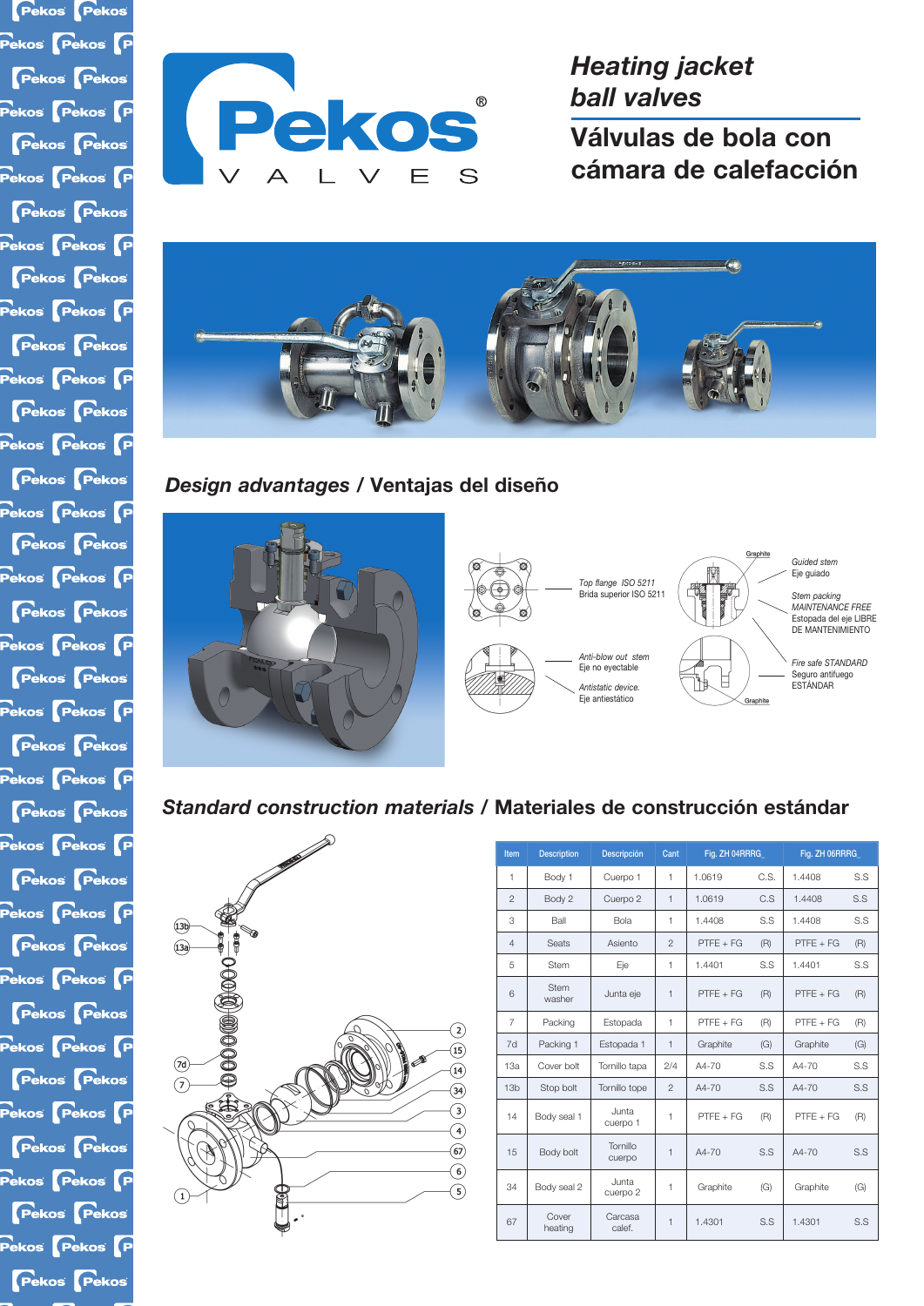**Pekos** Pekos Pekos Pekos P **Pekos** Pekos Pekos Pekos P **Pekos Pekos** Pekos Pekos P **Pekos Pekos** Pekos **Pekos** P **Pekos** Pekos Pekos Pekos P **Pekos** Pekos Pekos Pekos P **Pekos** Pekos Pekos Pekos P **Pekos** Pekos Pekos Pekos P **Pekos** Pekos Pekos Pekos P **Pekos** Pekos Pekos Pekos P **Pekos Pekos** Pekos Pekos P **Pekos** Pekos Pekos Pekos P **Pekos Pekos** Pekos Pekos P **Pekos** Pekos Pekos Pekos P **Pekos** Pekos Pekos Pekos P **Pekos** Pekos Pekos Pekos P **Pekos** Pekos Pekos Pekos P **Pekos** Pekos Pekos Pekos P **Pekos** Pekos Pekos Pekos P **Pekos Pekos** 



*Heating jacket ball valves*

**Válvulas de bola con cámara de calefacción**



*Design advantages /* **Ventajas del diseño**



## *Standard construction materials /* **Materiales de construcción estándar**



| Item            | <b>Description</b> | <b>Descripción</b> | Cant           | Fig. ZH 04RRRG |      | Fig. ZH 06RRRG |     |
|-----------------|--------------------|--------------------|----------------|----------------|------|----------------|-----|
| 1               | Body 1             | Cuerpo 1           | 1              | 1.0619         | C.S. | 1.4408         | S.S |
| $\overline{2}$  | Body 2             | Cuerpo 2           | $\mathbf{1}$   | 1.0619         | C.S  | 1.4408         | S.S |
| 3               | Ball               | <b>Bola</b>        | 1              | 1.4408         | S.S  | 1.4408         | S.S |
| $\overline{4}$  | <b>Seats</b>       | Asiento            | $\mathfrak{p}$ | $PTFF + FG$    | (R)  | $PTFF + FG$    | (R) |
| 5               | <b>Stem</b>        | Eje                | 1              | 1.4401         | S.S  | 1.4401         | S.S |
| 6               | Stem<br>washer     | Junta eje          | $\mathbf{1}$   | $PTFF + FG$    | (R)  | $PTFF + FG$    | (R) |
| 7               | Packing            | Estopada           | $\mathbf{1}$   | $PTFE + FG$    | (R)  | $PTFE + FG$    | (R) |
| 7d              | Packing 1          | Estopada 1         | $\mathbf{1}$   | Graphite       | (G)  | Graphite       | (G) |
| 13a             | Cover bolt         | Tornillo tapa      | 2/4            | $A4 - 70$      | S.S  | $A4 - 70$      | S.S |
| 13 <sub>b</sub> | Stop bolt          | Tornillo tope      | $\overline{2}$ | A4-70          | S.S  | A4-70          | S.S |
| 14              | Body seal 1        | Junta<br>cuerpo 1  | $\mathbf{1}$   | $PTFF + FG$    | (R)  | $PTFF + FG$    | (R) |
| 15              | Body bolt          | Tornillo<br>cuerpo | $\mathbf{1}$   | $A4 - 70$      | S.S  | $A4 - 70$      | S.S |
| 34              | Body seal 2        | Junta<br>cuerpo 2  | $\mathbf{1}$   | Graphite       | (G)  | Graphite       | (G) |
| 67              | Cover<br>heating   | Carcasa<br>calef.  | $\mathbf{1}$   | 1.4301         | S.S  | 1.4301         | S.S |